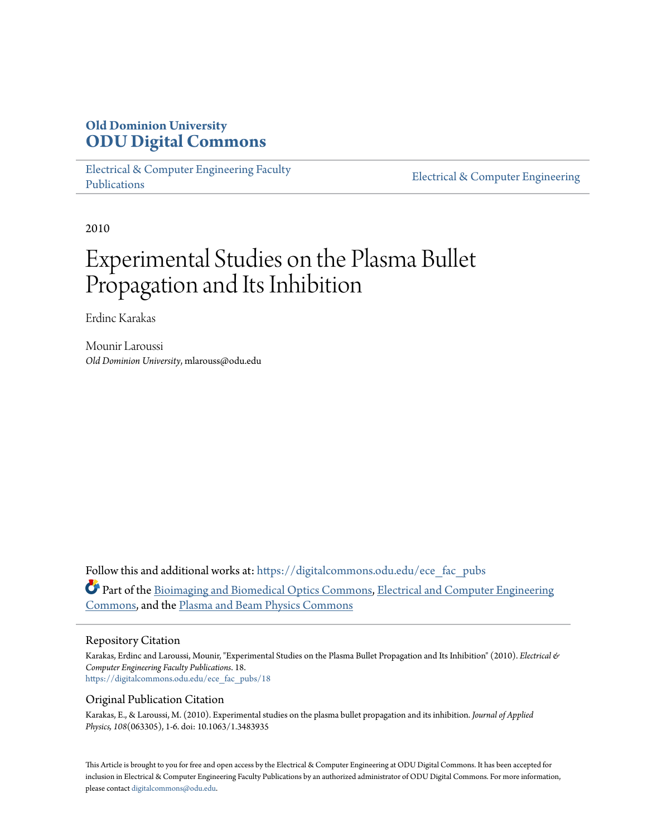# **Old Dominion University [ODU Digital Commons](https://digitalcommons.odu.edu?utm_source=digitalcommons.odu.edu%2Fece_fac_pubs%2F18&utm_medium=PDF&utm_campaign=PDFCoverPages)**

[Electrical & Computer Engineering Faculty](https://digitalcommons.odu.edu/ece_fac_pubs?utm_source=digitalcommons.odu.edu%2Fece_fac_pubs%2F18&utm_medium=PDF&utm_campaign=PDFCoverPages) [Publications](https://digitalcommons.odu.edu/ece_fac_pubs?utm_source=digitalcommons.odu.edu%2Fece_fac_pubs%2F18&utm_medium=PDF&utm_campaign=PDFCoverPages)

[Electrical & Computer Engineering](https://digitalcommons.odu.edu/ece?utm_source=digitalcommons.odu.edu%2Fece_fac_pubs%2F18&utm_medium=PDF&utm_campaign=PDFCoverPages)

2010

# Experimental Studies on the Plasma Bullet Propagation and Its Inhibition

Erdinc Karakas

Mounir Laroussi *Old Dominion University*, mlarouss@odu.edu

Follow this and additional works at: [https://digitalcommons.odu.edu/ece\\_fac\\_pubs](https://digitalcommons.odu.edu/ece_fac_pubs?utm_source=digitalcommons.odu.edu%2Fece_fac_pubs%2F18&utm_medium=PDF&utm_campaign=PDFCoverPages) Part of the [Bioimaging and Biomedical Optics Commons](http://network.bepress.com/hgg/discipline/232?utm_source=digitalcommons.odu.edu%2Fece_fac_pubs%2F18&utm_medium=PDF&utm_campaign=PDFCoverPages), [Electrical and Computer Engineering](http://network.bepress.com/hgg/discipline/266?utm_source=digitalcommons.odu.edu%2Fece_fac_pubs%2F18&utm_medium=PDF&utm_campaign=PDFCoverPages) [Commons,](http://network.bepress.com/hgg/discipline/266?utm_source=digitalcommons.odu.edu%2Fece_fac_pubs%2F18&utm_medium=PDF&utm_campaign=PDFCoverPages) and the [Plasma and Beam Physics Commons](http://network.bepress.com/hgg/discipline/205?utm_source=digitalcommons.odu.edu%2Fece_fac_pubs%2F18&utm_medium=PDF&utm_campaign=PDFCoverPages)

## Repository Citation

Karakas, Erdinc and Laroussi, Mounir, "Experimental Studies on the Plasma Bullet Propagation and Its Inhibition" (2010). *Electrical & Computer Engineering Faculty Publications*. 18. [https://digitalcommons.odu.edu/ece\\_fac\\_pubs/18](https://digitalcommons.odu.edu/ece_fac_pubs/18?utm_source=digitalcommons.odu.edu%2Fece_fac_pubs%2F18&utm_medium=PDF&utm_campaign=PDFCoverPages)

## Original Publication Citation

Karakas, E., & Laroussi, M. (2010). Experimental studies on the plasma bullet propagation and its inhibition. *Journal of Applied Physics, 108*(063305), 1-6. doi: 10.1063/1.3483935

This Article is brought to you for free and open access by the Electrical & Computer Engineering at ODU Digital Commons. It has been accepted for inclusion in Electrical & Computer Engineering Faculty Publications by an authorized administrator of ODU Digital Commons. For more information, please contact [digitalcommons@odu.edu](mailto:digitalcommons@odu.edu).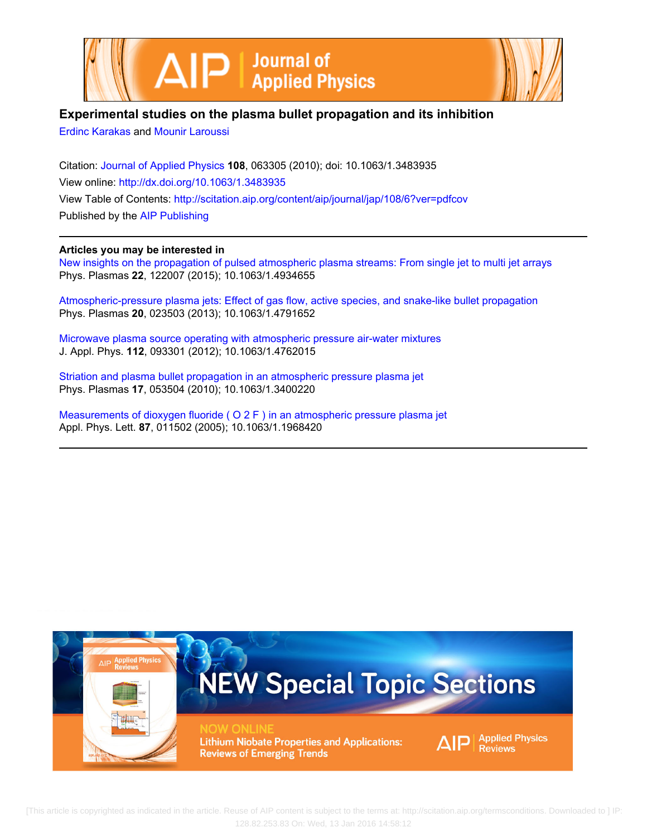



## **Experimental studies on the plasma bullet propagation and its inhibition**

[Erdinc Karakas](http://scitation.aip.org/search?value1=Erdinc+Karakas&option1=author) and [Mounir Laroussi](http://scitation.aip.org/search?value1=Mounir+Laroussi&option1=author)

Citation: [Journal of Applied Physics](http://scitation.aip.org/content/aip/journal/jap?ver=pdfcov) **108**, 063305 (2010); doi: 10.1063/1.3483935 View online: <http://dx.doi.org/10.1063/1.3483935> View Table of Contents: <http://scitation.aip.org/content/aip/journal/jap/108/6?ver=pdfcov> Published by the [AIP Publishing](http://scitation.aip.org/content/aip?ver=pdfcov)

## **Articles you may be interested in**

[New insights on the propagation of pulsed atmospheric plasma streams: From single jet to multi jet arrays](http://scitation.aip.org/content/aip/journal/pop/22/12/10.1063/1.4934655?ver=pdfcov) Phys. Plasmas **22**, 122007 (2015); 10.1063/1.4934655

[Atmospheric-pressure plasma jets: Effect of gas flow, active species, and snake-like bullet propagation](http://scitation.aip.org/content/aip/journal/pop/20/2/10.1063/1.4791652?ver=pdfcov) Phys. Plasmas **20**, 023503 (2013); 10.1063/1.4791652

[Microwave plasma source operating with atmospheric pressure air-water mixtures](http://scitation.aip.org/content/aip/journal/jap/112/9/10.1063/1.4762015?ver=pdfcov) J. Appl. Phys. **112**, 093301 (2012); 10.1063/1.4762015

[Striation and plasma bullet propagation in an atmospheric pressure plasma jet](http://scitation.aip.org/content/aip/journal/pop/17/5/10.1063/1.3400220?ver=pdfcov) Phys. Plasmas **17**, 053504 (2010); 10.1063/1.3400220

Measurements of dioxygen fluoride (  $Q 2 F$  ) in an atmospheric pressure plasma jet Appl. Phys. Lett. **87**, 011502 (2005); 10.1063/1.1968420



 [This article is copyrighted as indicated in the article. Reuse of AIP content is subject to the terms at: http://scitation.aip.org/termsconditions. Downloaded to ] IP: 128.82.253.83 On: Wed, 13 Jan 2016 14:58:12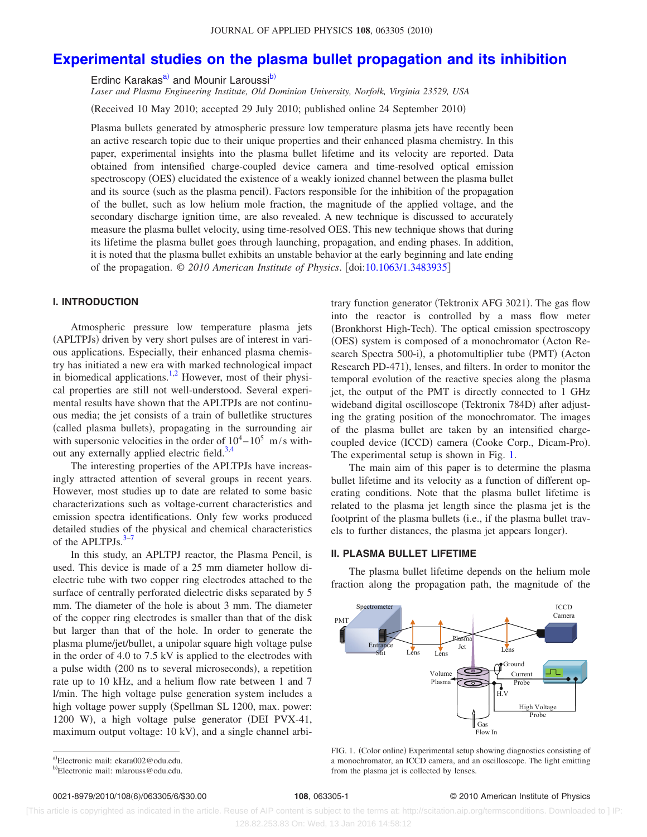# **[Experimental studies on the plasma bullet propagation and its inhibition](http://dx.doi.org/10.1063/1.3483935)**

Erdinc Karakas<sup>a)</sup> and Mounir Laroussi<sup>b)</sup>

*Laser and Plasma Engineering Institute, Old Dominion University, Norfolk, Virginia 23529, USA*

(Received 10 May 2010; accepted 29 July 2010; published online 24 September 2010)

Plasma bullets generated by atmospheric pressure low temperature plasma jets have recently been an active research topic due to their unique properties and their enhanced plasma chemistry. In this paper, experimental insights into the plasma bullet lifetime and its velocity are reported. Data obtained from intensified charge-coupled device camera and time-resolved optical emission spectroscopy (OES) elucidated the existence of a weakly ionized channel between the plasma bullet and its source (such as the plasma pencil). Factors responsible for the inhibition of the propagation of the bullet, such as low helium mole fraction, the magnitude of the applied voltage, and the secondary discharge ignition time, are also revealed. A new technique is discussed to accurately measure the plasma bullet velocity, using time-resolved OES. This new technique shows that during its lifetime the plasma bullet goes through launching, propagation, and ending phases. In addition, it is noted that the plasma bullet exhibits an unstable behavior at the early beginning and late ending of the propagation. © *2010 American Institute of Physics*. doi[:10.1063/1.3483935](http://dx.doi.org/10.1063/1.3483935)

#### **I. INTRODUCTION**

Atmospheric pressure low temperature plasma jets (APLTPJs) driven by very short pulses are of interest in various applications. Especially, their enhanced plasma chemistry has initiated a new era with marked technological impact in biomedical applications.<sup>1[,2](#page-6-1)</sup> However, most of their physical properties are still not well-understood. Several experimental results have shown that the APLTPJs are not continuous media; the jet consists of a train of bulletlike structures (called plasma bullets), propagating in the surrounding air with supersonic velocities in the order of  $10^4 - 10^5$  m/s with-out any externally applied electric field.<sup>3[,4](#page-7-0)</sup>

The interesting properties of the APLTPJs have increasingly attracted attention of several groups in recent years. However, most studies up to date are related to some basic characterizations such as voltage-current characteristics and emission spectra identifications. Only few works produced detailed studies of the physical and chemical characteristics of the APLTPJs. $3-7$ 

In this study, an APLTPJ reactor, the Plasma Pencil, is used. This device is made of a 25 mm diameter hollow dielectric tube with two copper ring electrodes attached to the surface of centrally perforated dielectric disks separated by 5 mm. The diameter of the hole is about 3 mm. The diameter of the copper ring electrodes is smaller than that of the disk but larger than that of the hole. In order to generate the plasma plume/jet/bullet, a unipolar square high voltage pulse in the order of 4.0 to 7.5 kV is applied to the electrodes with a pulse width (200 ns to several microseconds), a repetition rate up to 10 kHz, and a helium flow rate between 1 and 7 l/min. The high voltage pulse generation system includes a high voltage power supply (Spellman SL 1200, max. power: 1200 W), a high voltage pulse generator (DEI PVX-41, maximum output voltage: 10 kV), and a single channel arbi-

trary function generator (Tektronix AFG 3021). The gas flow into the reactor is controlled by a mass flow meter (Bronkhorst High-Tech). The optical emission spectroscopy (OES) system is composed of a monochromator (Acton Research Spectra 500-i), a photomultiplier tube (PMT) (Acton Research PD-471, lenses, and filters. In order to monitor the temporal evolution of the reactive species along the plasma jet, the output of the PMT is directly connected to 1 GHz wideband digital oscilloscope (Tektronix 784D) after adjusting the grating position of the monochromator. The images of the plasma bullet are taken by an intensified chargecoupled device (ICCD) camera (Cooke Corp., Dicam-Pro). The experimental setup is shown in Fig. [1.](#page-2-0)

The main aim of this paper is to determine the plasma bullet lifetime and its velocity as a function of different operating conditions. Note that the plasma bullet lifetime is related to the plasma jet length since the plasma jet is the footprint of the plasma bullets (i.e., if the plasma bullet travels to further distances, the plasma jet appears longer.

#### **II. PLASMA BULLET LIFETIME**

The plasma bullet lifetime depends on the helium mole fraction along the propagation path, the magnitude of the

<span id="page-2-0"></span>

FIG. 1. (Color online) Experimental setup showing diagnostics consisting of a monochromator, an ICCD camera, and an oscilloscope. The light emitting from the plasma jet is collected by lenses.

b Electronic mail: mlarouss@odu.edu.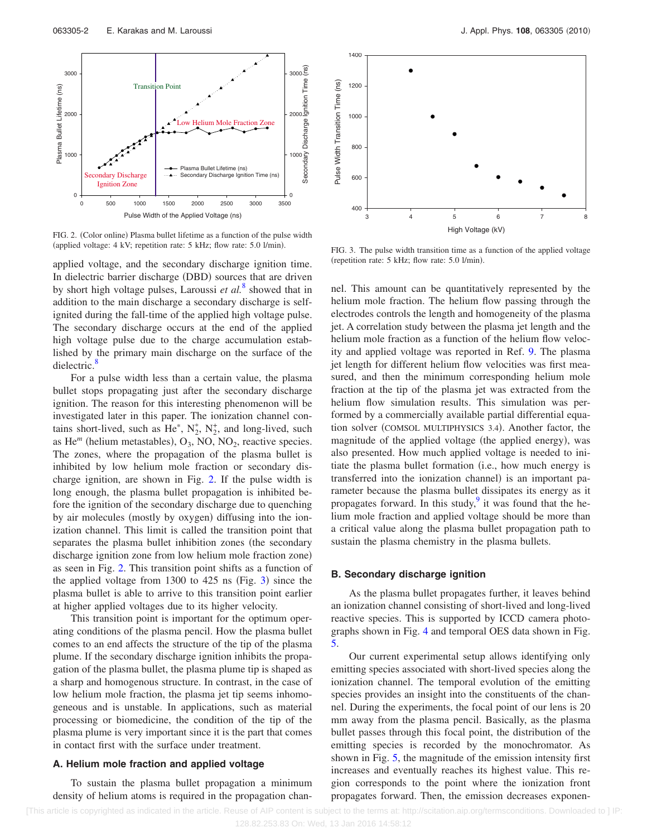<span id="page-3-0"></span>

FIG. 2. (Color online) Plasma bullet lifetime as a function of the pulse width (applied voltage: 4 kV; repetition rate: 5 kHz; flow rate: 5.0 l/min).

applied voltage, and the secondary discharge ignition time. In dielectric barrier discharge (DBD) sources that are driven by short high voltage pulses, Laroussi *et al.*[8](#page-7-2) showed that in addition to the main discharge a secondary discharge is selfignited during the fall-time of the applied high voltage pulse. The secondary discharge occurs at the end of the applied high voltage pulse due to the charge accumulation established by the primary main discharge on the surface of the dielectric.<sup>8</sup>

For a pulse width less than a certain value, the plasma bullet stops propagating just after the secondary discharge ignition. The reason for this interesting phenomenon will be investigated later in this paper. The ionization channel contains short-lived, such as  $He^*$ ,  $N_2^*$ ,  $N_2^*$ , and long-lived, such as  $He^{m}$  (helium metastables),  $O_3$ , NO, NO<sub>2</sub>, reactive species. The zones, where the propagation of the plasma bullet is inhibited by low helium mole fraction or secondary discharge ignition, are shown in Fig. [2.](#page-3-0) If the pulse width is long enough, the plasma bullet propagation is inhibited before the ignition of the secondary discharge due to quenching by air molecules (mostly by oxygen) diffusing into the ionization channel. This limit is called the transition point that separates the plasma bullet inhibition zones (the secondary discharge ignition zone from low helium mole fraction zone as seen in Fig. [2.](#page-3-0) This transition point shifts as a function of the applied voltage from  $1300$  $1300$  $1300$  to  $425$  ns (Fig. 3) since the plasma bullet is able to arrive to this transition point earlier at higher applied voltages due to its higher velocity.

This transition point is important for the optimum operating conditions of the plasma pencil. How the plasma bullet comes to an end affects the structure of the tip of the plasma plume. If the secondary discharge ignition inhibits the propagation of the plasma bullet, the plasma plume tip is shaped as a sharp and homogenous structure. In contrast, in the case of low helium mole fraction, the plasma jet tip seems inhomogeneous and is unstable. In applications, such as material processing or biomedicine, the condition of the tip of the plasma plume is very important since it is the part that comes in contact first with the surface under treatment.

#### **A. Helium mole fraction and applied voltage**

To sustain the plasma bullet propagation a minimum density of helium atoms is required in the propagation chan-

<span id="page-3-1"></span>

FIG. 3. The pulse width transition time as a function of the applied voltage (repetition rate: 5 kHz; flow rate: 5.0 l/min).

nel. This amount can be quantitatively represented by the helium mole fraction. The helium flow passing through the electrodes controls the length and homogeneity of the plasma jet. A correlation study between the plasma jet length and the helium mole fraction as a function of the helium flow velocity and applied voltage was reported in Ref. [9.](#page-7-3) The plasma jet length for different helium flow velocities was first measured, and then the minimum corresponding helium mole fraction at the tip of the plasma jet was extracted from the helium flow simulation results. This simulation was performed by a commercially available partial differential equation solver (COMSOL MULTIPHYSICS 3.4). Another factor, the magnitude of the applied voltage (the applied energy), was also presented. How much applied voltage is needed to initiate the plasma bullet formation (i.e., how much energy is transferred into the ionization channel) is an important parameter because the plasma bullet dissipates its energy as it propagates forward. In this study, $9$  it was found that the helium mole fraction and applied voltage should be more than a critical value along the plasma bullet propagation path to sustain the plasma chemistry in the plasma bullets.

#### **B. Secondary discharge ignition**

As the plasma bullet propagates further, it leaves behind an ionization channel consisting of short-lived and long-lived reactive species. This is supported by ICCD camera photographs shown in Fig. [4](#page-4-0) and temporal OES data shown in Fig. [5.](#page-4-1)

Our current experimental setup allows identifying only emitting species associated with short-lived species along the ionization channel. The temporal evolution of the emitting species provides an insight into the constituents of the channel. During the experiments, the focal point of our lens is 20 mm away from the plasma pencil. Basically, as the plasma bullet passes through this focal point, the distribution of the emitting species is recorded by the monochromator. As shown in Fig. [5,](#page-4-1) the magnitude of the emission intensity first increases and eventually reaches its highest value. This region corresponds to the point where the ionization front propagates forward. Then, the emission decreases exponen-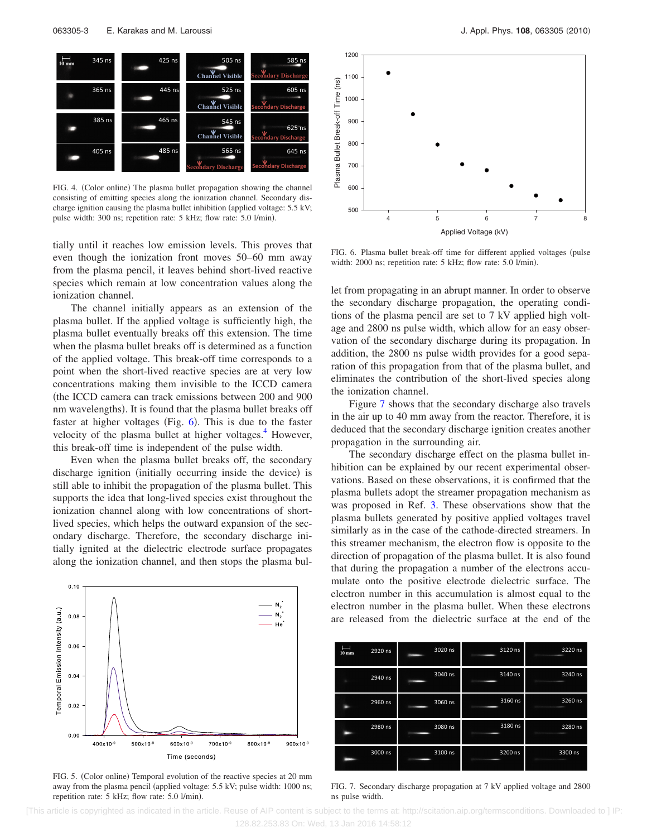<span id="page-4-0"></span>

FIG. 4. (Color online) The plasma bullet propagation showing the channel consisting of emitting species along the ionization channel. Secondary discharge ignition causing the plasma bullet inhibition (applied voltage: 5.5 kV; pulse width: 300 ns; repetition rate: 5 kHz; flow rate: 5.0 l/min).

tially until it reaches low emission levels. This proves that even though the ionization front moves 50–60 mm away from the plasma pencil, it leaves behind short-lived reactive species which remain at low concentration values along the ionization channel.

The channel initially appears as an extension of the plasma bullet. If the applied voltage is sufficiently high, the plasma bullet eventually breaks off this extension. The time when the plasma bullet breaks off is determined as a function of the applied voltage. This break-off time corresponds to a point when the short-lived reactive species are at very low concentrations making them invisible to the ICCD camera (the ICCD camera can track emissions between 200 and 900 nm wavelengths). It is found that the plasma bullet breaks off faster at higher voltages (Fig. [6](#page-4-2)). This is due to the faster velocity of the plasma bullet at higher voltages.<sup>4</sup> However, this break-off time is independent of the pulse width.

Even when the plasma bullet breaks off, the secondary discharge ignition (initially occurring inside the device) is still able to inhibit the propagation of the plasma bullet. This supports the idea that long-lived species exist throughout the ionization channel along with low concentrations of shortlived species, which helps the outward expansion of the secondary discharge. Therefore, the secondary discharge initially ignited at the dielectric electrode surface propagates along the ionization channel, and then stops the plasma bul-

<span id="page-4-1"></span>

FIG. 5. (Color online) Temporal evolution of the reactive species at 20 mm away from the plasma pencil (applied voltage: 5.5 kV; pulse width: 1000 ns; repetition rate: 5 kHz; flow rate: 5.0 l/min.

<span id="page-4-2"></span>

FIG. 6. Plasma bullet break-off time for different applied voltages (pulse width: 2000 ns; repetition rate: 5 kHz; flow rate: 5.0 l/min).

let from propagating in an abrupt manner. In order to observe the secondary discharge propagation, the operating conditions of the plasma pencil are set to 7 kV applied high voltage and 2800 ns pulse width, which allow for an easy observation of the secondary discharge during its propagation. In addition, the 2800 ns pulse width provides for a good separation of this propagation from that of the plasma bullet, and eliminates the contribution of the short-lived species along the ionization channel.

Figure [7](#page-4-3) shows that the secondary discharge also travels in the air up to 40 mm away from the reactor. Therefore, it is deduced that the secondary discharge ignition creates another propagation in the surrounding air.

The secondary discharge effect on the plasma bullet inhibition can be explained by our recent experimental observations. Based on these observations, it is confirmed that the plasma bullets adopt the streamer propagation mechanism as was proposed in Ref. [3.](#page-6-2) These observations show that the plasma bullets generated by positive applied voltages travel similarly as in the case of the cathode-directed streamers. In this streamer mechanism, the electron flow is opposite to the direction of propagation of the plasma bullet. It is also found that during the propagation a number of the electrons accumulate onto the positive electrode dielectric surface. The electron number in this accumulation is almost equal to the electron number in the plasma bullet. When these electrons are released from the dielectric surface at the end of the

<span id="page-4-3"></span>

| $10 \text{ mm}$ | 2920 ns | 3020 ns | 3120 ns | 3220 ns |
|-----------------|---------|---------|---------|---------|
|                 | 2940 ns | 3040 ns | 3140 ns | 3240 ns |
|                 | 2960 ns | 3060 ns | 3160 ns | 3260 ns |
|                 | 2980 ns | 3080 ns | 3180 ns | 3280 ns |
|                 | 3000 ns | 3100 ns | 3200 ns | 3300 ns |

FIG. 7. Secondary discharge propagation at 7 kV applied voltage and 2800 ns pulse width.

 [This article is copyrighted as indicated in the article. Reuse of AIP content is subject to the terms at: http://scitation.aip.org/termsconditions. Downloaded to ] IP: 128.82.253.83 On: Wed, 13 Jan 2016 14:58:12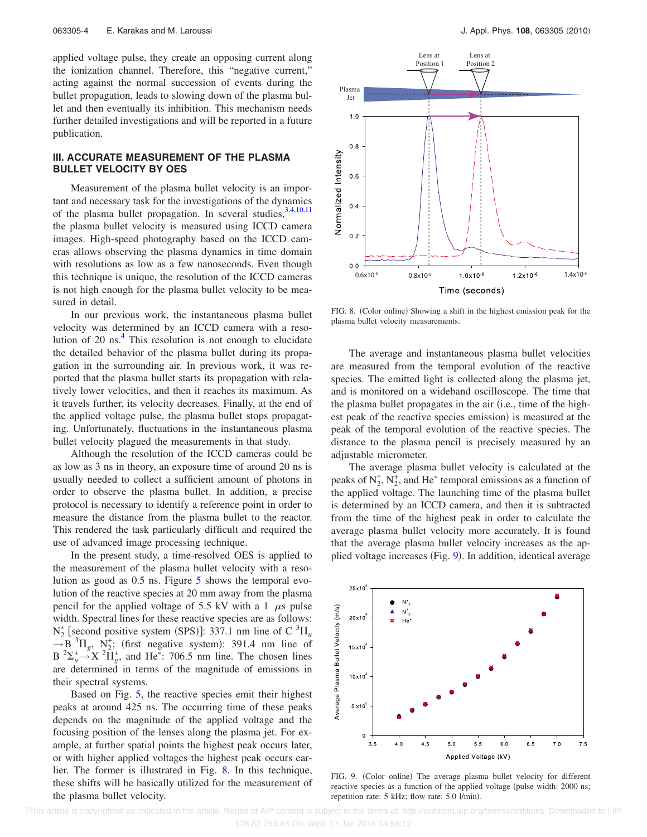applied voltage pulse, they create an opposing current along the ionization channel. Therefore, this "negative current," acting against the normal succession of events during the bullet propagation, leads to slowing down of the plasma bullet and then eventually its inhibition. This mechanism needs further detailed investigations and will be reported in a future publication.

#### **III. ACCURATE MEASUREMENT OF THE PLASMA BULLET VELOCITY BY OES**

Measurement of the plasma bullet velocity is an important and necessary task for the investigations of the dynamics of the plasma bullet propagation. In several studies,  $3,4,10,11$  $3,4,10,11$  $3,4,10,11$  $3,4,10,11$ the plasma bullet velocity is measured using ICCD camera images. High-speed photography based on the ICCD cameras allows observing the plasma dynamics in time domain with resolutions as low as a few nanoseconds. Even though this technique is unique, the resolution of the ICCD cameras is not high enough for the plasma bullet velocity to be measured in detail.

In our previous work, the instantaneous plasma bullet velocity was determined by an ICCD camera with a resolution of 20 ns. $<sup>4</sup>$  This resolution is not enough to elucidate</sup> the detailed behavior of the plasma bullet during its propagation in the surrounding air. In previous work, it was reported that the plasma bullet starts its propagation with relatively lower velocities, and then it reaches its maximum. As it travels further, its velocity decreases. Finally, at the end of the applied voltage pulse, the plasma bullet stops propagating. Unfortunately, fluctuations in the instantaneous plasma bullet velocity plagued the measurements in that study.

Although the resolution of the ICCD cameras could be as low as 3 ns in theory, an exposure time of around 20 ns is usually needed to collect a sufficient amount of photons in order to observe the plasma bullet. In addition, a precise protocol is necessary to identify a reference point in order to measure the distance from the plasma bullet to the reactor. This rendered the task particularly difficult and required the use of advanced image processing technique.

In the present study, a time-resolved OES is applied to the measurement of the plasma bullet velocity with a resolution as good as 0.5 ns. Figure [5](#page-4-1) shows the temporal evolution of the reactive species at 20 mm away from the plasma pencil for the applied voltage of 5.5 kV with a 1  $\mu$ s pulse width. Spectral lines for these reactive species are as follows:  $N_2^*$  [second positive system (SPS)]: 337.1 nm line of C  ${}^{3}\Pi_u$  $\rightarrow B$ <sup>3</sup> $\Pi_g$ , N<sup>+</sup>; (first negative system): 391.4 nm line of B  ${}^{2}\Sigma_{u}^{+} \rightarrow X$   ${}^{2}\overline{\Pi}_{g}^{+}$ , and He<sup>\*</sup>: 706.5 nm line. The chosen lines are determined in terms of the magnitude of emissions in their spectral systems.

Based on Fig. [5,](#page-4-1) the reactive species emit their highest peaks at around 425 ns. The occurring time of these peaks depends on the magnitude of the applied voltage and the focusing position of the lenses along the plasma jet. For example, at further spatial points the highest peak occurs later, or with higher applied voltages the highest peak occurs earlier. The former is illustrated in Fig. [8.](#page-5-0) In this technique, these shifts will be basically utilized for the measurement of the plasma bullet velocity.

<span id="page-5-0"></span>

FIG. 8. (Color online) Showing a shift in the highest emission peak for the plasma bullet velocity measurements.

The average and instantaneous plasma bullet velocities are measured from the temporal evolution of the reactive species. The emitted light is collected along the plasma jet, and is monitored on a wideband oscilloscope. The time that the plasma bullet propagates in the air (i.e., time of the highest peak of the reactive species emission) is measured at the peak of the temporal evolution of the reactive species. The distance to the plasma pencil is precisely measured by an adjustable micrometer.

The average plasma bullet velocity is calculated at the peaks of  $N_2^*$ ,  $N_2^+$ , and He<sup>\*</sup> temporal emissions as a function of the applied voltage. The launching time of the plasma bullet is determined by an ICCD camera, and then it is subtracted from the time of the highest peak in order to calculate the average plasma bullet velocity more accurately. It is found that the average plasma bullet velocity increases as the ap-plied voltage increases (Fig. [9](#page-5-1)). In addition, identical average

<span id="page-5-1"></span>

FIG. 9. (Color online) The average plasma bullet velocity for different reactive species as a function of the applied voltage (pulse width: 2000 ns; repetition rate: 5 kHz; flow rate: 5.0 l/min).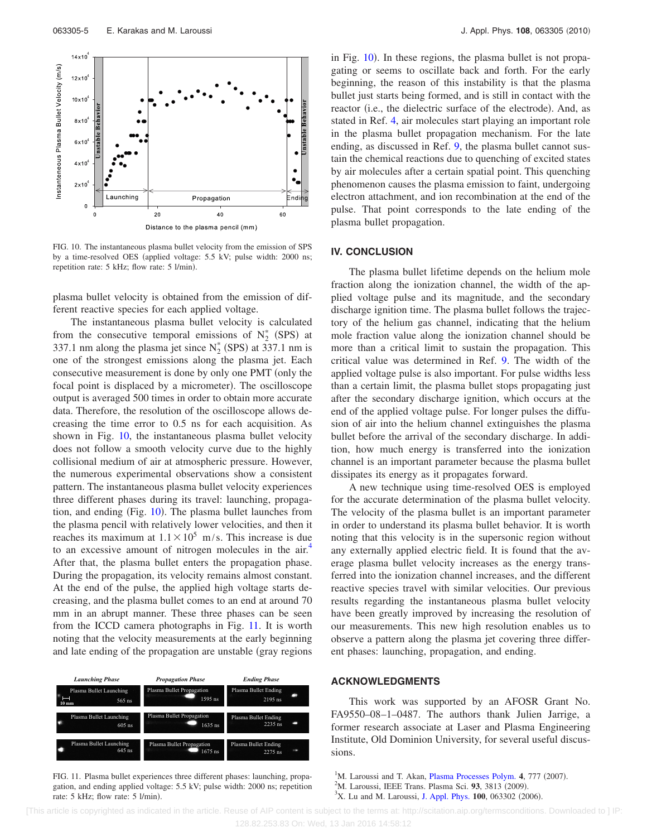<span id="page-6-3"></span>

FIG. 10. The instantaneous plasma bullet velocity from the emission of SPS by a time-resolved OES (applied voltage: 5.5 kV; pulse width: 2000 ns; repetition rate: 5 kHz; flow rate: 5 l/min).

plasma bullet velocity is obtained from the emission of different reactive species for each applied voltage.

The instantaneous plasma bullet velocity is calculated from the consecutive temporal emissions of  $N_2^*$  (SPS) at 337.1 nm along the plasma jet since  $N_2^*$  (SPS) at 337.1 nm is one of the strongest emissions along the plasma jet. Each consecutive measurement is done by only one PMT (only the focal point is displaced by a micrometer). The oscilloscope output is averaged 500 times in order to obtain more accurate data. Therefore, the resolution of the oscilloscope allows decreasing the time error to 0.5 ns for each acquisition. As shown in Fig. [10,](#page-6-3) the instantaneous plasma bullet velocity does not follow a smooth velocity curve due to the highly collisional medium of air at atmospheric pressure. However, the numerous experimental observations show a consistent pattern. The instantaneous plasma bullet velocity experiences three different phases during its travel: launching, propaga-tion, and ending (Fig. [10](#page-6-3)). The plasma bullet launches from the plasma pencil with relatively lower velocities, and then it reaches its maximum at  $1.1 \times 10^5$  m/s. This increase is due to an excessive amount of nitrogen molecules in the air.<sup>4</sup> After that, the plasma bullet enters the propagation phase. During the propagation, its velocity remains almost constant. At the end of the pulse, the applied high voltage starts decreasing, and the plasma bullet comes to an end at around 70 mm in an abrupt manner. These three phases can be seen from the ICCD camera photographs in Fig. [11.](#page-6-4) It is worth noting that the velocity measurements at the early beginning and late ending of the propagation are unstable (gray regions

<span id="page-6-4"></span>

| <b>Launching Phase</b> |                                                      | <b>Propagation Phase</b>               | <b>Ending Phase</b>                      |  |
|------------------------|------------------------------------------------------|----------------------------------------|------------------------------------------|--|
|                        | Plasma Bullet Launching<br>565 ns<br>$10 \text{ mm}$ | Plasma Bullet Propagation<br>1595 ns   | <b>Plasma Bullet Ending</b><br>2195 ns   |  |
|                        | Plasma Bullet Launching<br>$605$ ns                  | Plasma Bullet Propagation<br>$1635$ ns | Plasma Bullet Ending<br>2235 ns          |  |
|                        | Plasma Bullet Launching<br>$645$ ns                  | Plasma Bullet Propagation<br>$1675$ ns | <b>Plasma Bullet Ending</b><br>$2275$ ns |  |

FIG. 11. Plasma bullet experiences three different phases: launching, propagation, and ending applied voltage: 5.5 kV; pulse width: 2000 ns; repetition rate: 5 kHz; flow rate: 5 l/min).

in Fig. [10](#page-6-3)). In these regions, the plasma bullet is not propagating or seems to oscillate back and forth. For the early beginning, the reason of this instability is that the plasma bullet just starts being formed, and is still in contact with the reactor (i.e., the dielectric surface of the electrode). And, as stated in Ref. [4,](#page-7-0) air molecules start playing an important role in the plasma bullet propagation mechanism. For the late ending, as discussed in Ref. [9,](#page-7-3) the plasma bullet cannot sustain the chemical reactions due to quenching of excited states by air molecules after a certain spatial point. This quenching phenomenon causes the plasma emission to faint, undergoing electron attachment, and ion recombination at the end of the pulse. That point corresponds to the late ending of the plasma bullet propagation.

#### **IV. CONCLUSION**

The plasma bullet lifetime depends on the helium mole fraction along the ionization channel, the width of the applied voltage pulse and its magnitude, and the secondary discharge ignition time. The plasma bullet follows the trajectory of the helium gas channel, indicating that the helium mole fraction value along the ionization channel should be more than a critical limit to sustain the propagation. This critical value was determined in Ref. [9.](#page-7-3) The width of the applied voltage pulse is also important. For pulse widths less than a certain limit, the plasma bullet stops propagating just after the secondary discharge ignition, which occurs at the end of the applied voltage pulse. For longer pulses the diffusion of air into the helium channel extinguishes the plasma bullet before the arrival of the secondary discharge. In addition, how much energy is transferred into the ionization channel is an important parameter because the plasma bullet dissipates its energy as it propagates forward.

A new technique using time-resolved OES is employed for the accurate determination of the plasma bullet velocity. The velocity of the plasma bullet is an important parameter in order to understand its plasma bullet behavior. It is worth noting that this velocity is in the supersonic region without any externally applied electric field. It is found that the average plasma bullet velocity increases as the energy transferred into the ionization channel increases, and the different reactive species travel with similar velocities. Our previous results regarding the instantaneous plasma bullet velocity have been greatly improved by increasing the resolution of our measurements. This new high resolution enables us to observe a pattern along the plasma jet covering three different phases: launching, propagation, and ending.

#### **ACKNOWLEDGMENTS**

This work was supported by an AFOSR Grant No. FA9550–08–1–0487. The authors thank Julien Jarrige, a former research associate at Laser and Plasma Engineering Institute, Old Dominion University, for several useful discussions.

 [This article is copyrighted as indicated in the article. Reuse of AIP content is subject to the terms at: http://scitation.aip.org/termsconditions. Downloaded to ] IP: 128.82.253.83 On: Wed, 13 Jan 2016 14:58:12

<span id="page-6-0"></span><sup>&</sup>lt;sup>1</sup>M. Laroussi and T. Akan, [Plasma Processes Polym.](http://dx.doi.org/10.1002/ppap.200700066) **4**, 777 (2007).

<span id="page-6-2"></span><span id="page-6-1"></span><sup>&</sup>lt;sup>2</sup>M. Laroussi, IEEE Trans. Plasma Sci. **93**, 3813 (2009).<br><sup>3</sup>Y. Lu and M. Laroussi, L. Annl. Phys. **100**, 063302 (20

X. Lu and M. Laroussi, [J. Appl. Phys.](http://dx.doi.org/10.1063/1.2349475) 100, 063302 (2006).